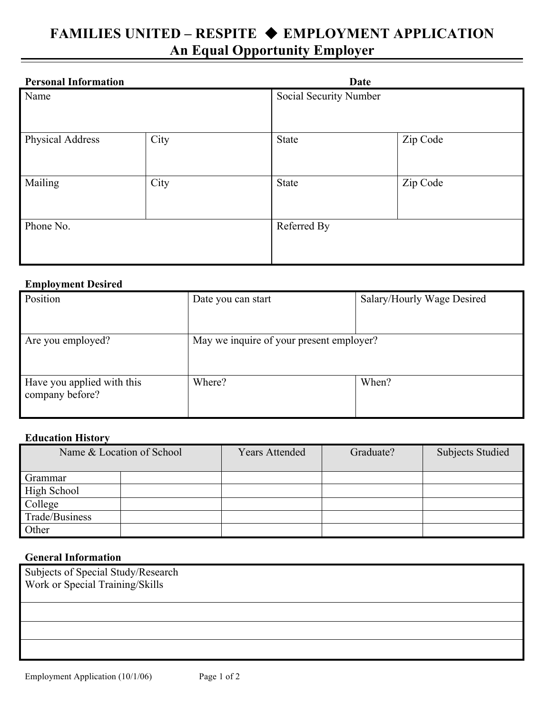# **FAMILIES UNITED – RESPITE EMPLOYMENT APPLICATION An Equal Opportunity Employer**

| <b>Personal Information</b> |      | Date                   |          |
|-----------------------------|------|------------------------|----------|
| Name                        |      | Social Security Number |          |
| Physical Address            | City | State                  | Zip Code |
| Mailing                     | City | <b>State</b>           | Zip Code |
| Phone No.                   |      | Referred By            |          |

### **Employment Desired**

| Position                                      | Date you can start                       | Salary/Hourly Wage Desired |
|-----------------------------------------------|------------------------------------------|----------------------------|
| Are you employed?                             | May we inquire of your present employer? |                            |
| Have you applied with this<br>company before? | Where?                                   | When?                      |

#### **Education History**

| Name & Location of School |  | <b>Years Attended</b> | Graduate? | <b>Subjects Studied</b> |
|---------------------------|--|-----------------------|-----------|-------------------------|
| Grammar                   |  |                       |           |                         |
| High School               |  |                       |           |                         |
| College                   |  |                       |           |                         |
| Trade/Business            |  |                       |           |                         |
| Other                     |  |                       |           |                         |

## **General Information**

| Subjects of Special Study/Research<br>Work or Special Training/Skills |  |  |
|-----------------------------------------------------------------------|--|--|
|                                                                       |  |  |
|                                                                       |  |  |
|                                                                       |  |  |